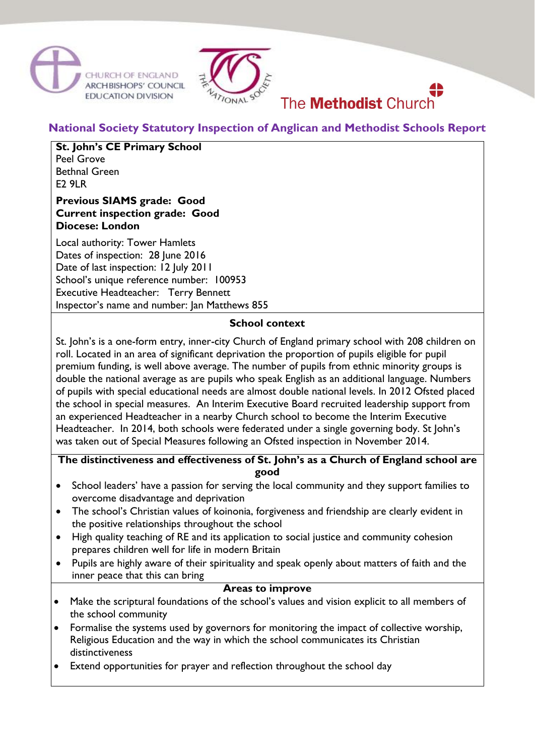



# The **Methodist** Church

**National Society Statutory Inspection of Anglican and Methodist Schools Report**

# **St. John's CE Primary School**

Peel Grove Bethnal Green  $F29IR$ 

# **Previous SIAMS grade: Good Current inspection grade: Good Diocese: London**

Local authority: Tower Hamlets Dates of inspection: 28 June 2016 Date of last inspection: 12 July 2011 School's unique reference number: 100953 Executive Headteacher: Terry Bennett Inspector's name and number: Jan Matthews 855

# **School context**

St. John's is a one-form entry, inner-city Church of England primary school with 208 children on roll. Located in an area of significant deprivation the proportion of pupils eligible for pupil premium funding, is well above average. The number of pupils from ethnic minority groups is double the national average as are pupils who speak English as an additional language. Numbers of pupils with special educational needs are almost double national levels. In 2012 Ofsted placed the school in special measures. An Interim Executive Board recruited leadership support from an experienced Headteacher in a nearby Church school to become the Interim Executive Headteacher. In 2014, both schools were federated under a single governing body. St John's was taken out of Special Measures following an Ofsted inspection in November 2014.

# **The distinctiveness and effectiveness of St. John's as a Church of England school are good**

- School leaders' have a passion for serving the local community and they support families to overcome disadvantage and deprivation
- The school's Christian values of koinonia, forgiveness and friendship are clearly evident in the positive relationships throughout the school
- High quality teaching of RE and its application to social justice and community cohesion prepares children well for life in modern Britain
- Pupils are highly aware of their spirituality and speak openly about matters of faith and the inner peace that this can bring

#### **Areas to improve**

- Make the scriptural foundations of the school's values and vision explicit to all members of the school community
- Formalise the systems used by governors for monitoring the impact of collective worship, Religious Education and the way in which the school communicates its Christian distinctiveness
- Extend opportunities for prayer and reflection throughout the school day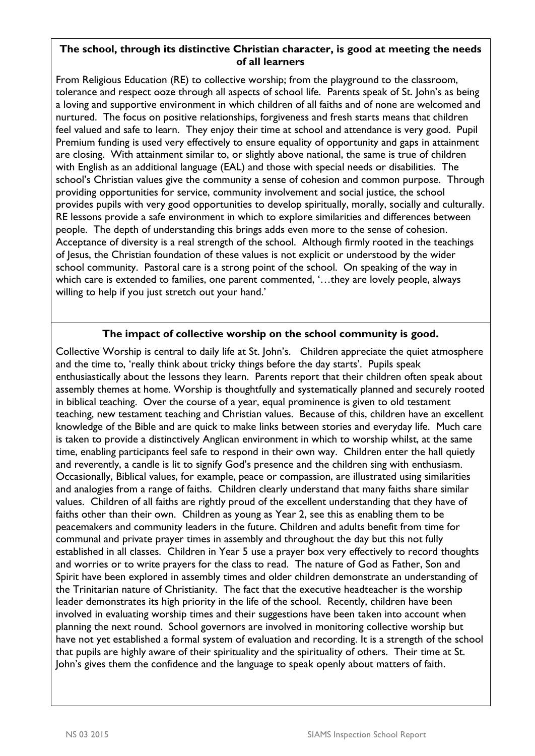### **The school, through its distinctive Christian character, is good at meeting the needs of all learners**

From Religious Education (RE) to collective worship; from the playground to the classroom, tolerance and respect ooze through all aspects of school life. Parents speak of St. John's as being a loving and supportive environment in which children of all faiths and of none are welcomed and nurtured. The focus on positive relationships, forgiveness and fresh starts means that children feel valued and safe to learn. They enjoy their time at school and attendance is very good. Pupil Premium funding is used very effectively to ensure equality of opportunity and gaps in attainment are closing. With attainment similar to, or slightly above national, the same is true of children with English as an additional language (EAL) and those with special needs or disabilities. The school's Christian values give the community a sense of cohesion and common purpose. Through providing opportunities for service, community involvement and social justice, the school provides pupils with very good opportunities to develop spiritually, morally, socially and culturally. RE lessons provide a safe environment in which to explore similarities and differences between people. The depth of understanding this brings adds even more to the sense of cohesion. Acceptance of diversity is a real strength of the school. Although firmly rooted in the teachings of Jesus, the Christian foundation of these values is not explicit or understood by the wider school community. Pastoral care is a strong point of the school. On speaking of the way in which care is extended to families, one parent commented, '…they are lovely people, always willing to help if you just stretch out your hand.'

# **The impact of collective worship on the school community is good.**

Collective Worship is central to daily life at St. John's. Children appreciate the quiet atmosphere and the time to, 'really think about tricky things before the day starts'. Pupils speak enthusiastically about the lessons they learn. Parents report that their children often speak about assembly themes at home. Worship is thoughtfully and systematically planned and securely rooted in biblical teaching. Over the course of a year, equal prominence is given to old testament teaching, new testament teaching and Christian values. Because of this, children have an excellent knowledge of the Bible and are quick to make links between stories and everyday life. Much care is taken to provide a distinctively Anglican environment in which to worship whilst, at the same time, enabling participants feel safe to respond in their own way. Children enter the hall quietly and reverently, a candle is lit to signify God's presence and the children sing with enthusiasm. Occasionally, Biblical values, for example, peace or compassion, are illustrated using similarities and analogies from a range of faiths. Children clearly understand that many faiths share similar values. Children of all faiths are rightly proud of the excellent understanding that they have of faiths other than their own. Children as young as Year 2, see this as enabling them to be peacemakers and community leaders in the future. Children and adults benefit from time for communal and private prayer times in assembly and throughout the day but this not fully established in all classes. Children in Year 5 use a prayer box very effectively to record thoughts and worries or to write prayers for the class to read. The nature of God as Father, Son and Spirit have been explored in assembly times and older children demonstrate an understanding of the Trinitarian nature of Christianity. The fact that the executive headteacher is the worship leader demonstrates its high priority in the life of the school. Recently, children have been involved in evaluating worship times and their suggestions have been taken into account when planning the next round. School governors are involved in monitoring collective worship but have not yet established a formal system of evaluation and recording. It is a strength of the school that pupils are highly aware of their spirituality and the spirituality of others. Their time at St. John's gives them the confidence and the language to speak openly about matters of faith.